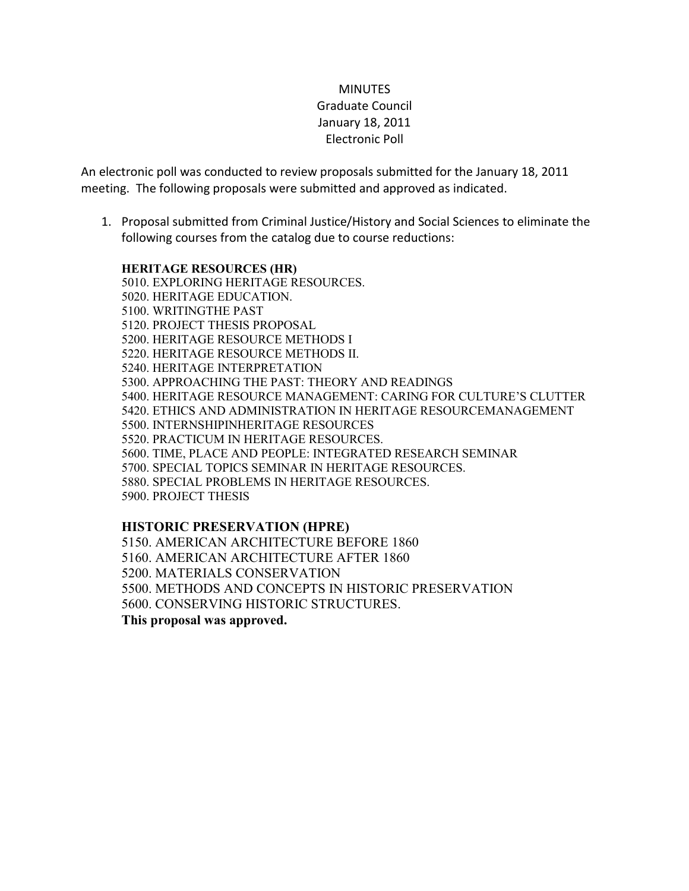## **MINUTES** Graduate Council January 18, 2011 Electronic Poll

An electronic poll was conducted to review proposals submitted for the January 18, 2011 meeting. The following proposals were submitted and approved as indicated.

1. Proposal submitted from Criminal Justice/History and Social Sciences to eliminate the following courses from the catalog due to course reductions:

## **HERITAGE RESOURCES (HR)**

5010. EXPLORING HERITAGE RESOURCES. 5020. HERITAGE EDUCATION. 5100. WRITINGTHE PAST 5120. PROJECT THESIS PROPOSAL 5200. HERITAGE RESOURCE METHODS I 5220. HERITAGE RESOURCE METHODS II. 5240. HERITAGE INTERPRETATION 5300. APPROACHING THE PAST: THEORY AND READINGS 5400. HERITAGE RESOURCE MANAGEMENT: CARING FOR CULTURE'S CLUTTER 5420. ETHICS AND ADMINISTRATION IN HERITAGE RESOURCEMANAGEMENT 5500. INTERNSHIPINHERITAGE RESOURCES 5520. PRACTICUM IN HERITAGE RESOURCES. 5600. TIME, PLACE AND PEOPLE: INTEGRATED RESEARCH SEMINAR 5700. SPECIAL TOPICS SEMINAR IN HERITAGE RESOURCES. 5880. SPECIAL PROBLEMS IN HERITAGE RESOURCES. 5900. PROJECT THESIS

## **HISTORIC PRESERVATION (HPRE)**

5150. AMERICAN ARCHITECTURE BEFORE 1860 5160. AMERICAN ARCHITECTURE AFTER 1860 5200. MATERIALS CONSERVATION 5500. METHODS AND CONCEPTS IN HISTORIC PRESERVATION 5600. CONSERVING HISTORIC STRUCTURES. **This proposal was approved.**